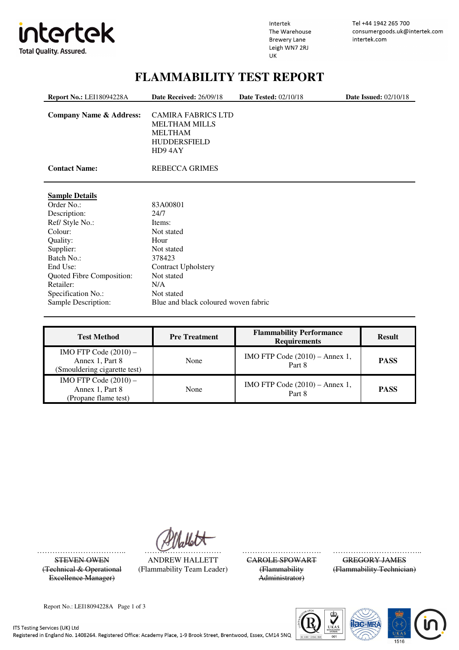

Intertek The Warehouse **Brewery Lane** Leigh WN7 2RJ UK

Tel +44 1942 265 700 consumergoods.uk@intertek.com intertek.com

## **FLAMMABILITY TEST REPORT**

| <b>Report No.: LEI18094228A</b>    | Date Received: 26/09/18                                                                              | <b>Date Tested: 02/10/18</b> | <b>Date Issued: 02/10/18</b> |
|------------------------------------|------------------------------------------------------------------------------------------------------|------------------------------|------------------------------|
| <b>Company Name &amp; Address:</b> | <b>CAMIRA FABRICS LTD</b><br><b>MELTHAM MILLS</b><br><b>MELTHAM</b><br><b>HUDDERSFIELD</b><br>HD94AY |                              |                              |
| <b>Contact Name:</b>               | <b>REBECCA GRIMES</b>                                                                                |                              |                              |
| <b>Sample Details</b>              |                                                                                                      |                              |                              |
| Order No.:                         | 83A00801                                                                                             |                              |                              |
| Description:                       | 24/7                                                                                                 |                              |                              |
| Ref/ Style No.:                    | Items:                                                                                               |                              |                              |
| Colour:                            | Not stated                                                                                           |                              |                              |
| Quality:                           | Hour                                                                                                 |                              |                              |
| Supplier:                          | Not stated                                                                                           |                              |                              |
| Batch No.:                         | 378423                                                                                               |                              |                              |
| End Use:                           | <b>Contract Upholstery</b>                                                                           |                              |                              |
| Quoted Fibre Composition:          | Not stated                                                                                           |                              |                              |
| Retailer:                          | N/A                                                                                                  |                              |                              |
| Specification No.:                 | Not stated                                                                                           |                              |                              |
| Sample Description:                | Blue and black coloured woven fabric                                                                 |                              |                              |
|                                    |                                                                                                      |                              |                              |

| <b>Test Method</b>                                                         | <b>Pre Treatment</b> | <b>Flammability Performance</b><br><b>Requirements</b> | <b>Result</b> |
|----------------------------------------------------------------------------|----------------------|--------------------------------------------------------|---------------|
| IMO FTP Code $(2010)$ –<br>Annex 1, Part 8<br>(Smouldering cigarette test) | None                 | IMO FTP Code $(2010)$ – Annex 1,<br>Part 8             | <b>PASS</b>   |
| IMO FTP Code $(2010)$ –<br>Annex 1, Part 8<br>(Propane flame test)         | None                 | IMO FTP Code $(2010)$ – Annex 1,<br>Part 8             | <b>PASS</b>   |

…………………………….. ………………………… …………………………. ……………………………...

(Technical & Operational Excellence Manager)

STEVEN OWEN ANDREW HALLETT CAROLE SPOWART GREGORY JAMES (Flammability Team Leader) (Flammability

Administrator)

(Flammability Technician)

Report No.: LEI18094228A Page 1 of 3



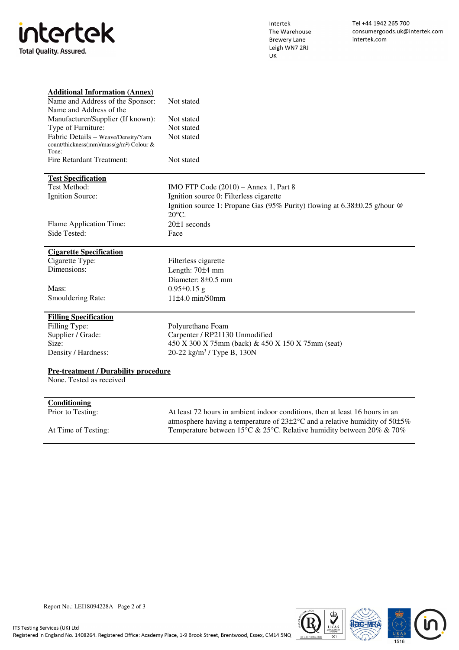| intertek                       |  |  |  |  |
|--------------------------------|--|--|--|--|
| <b>Total Ouality. Assured.</b> |  |  |  |  |

Intertek The Warehouse **Brewery Lane** Leigh WN7 2RJ UK

| <b>Additional Information (Annex)</b>                |                                                                                              |
|------------------------------------------------------|----------------------------------------------------------------------------------------------|
| Name and Address of the Sponsor:                     | Not stated                                                                                   |
| Name and Address of the                              |                                                                                              |
| Manufacturer/Supplier (If known):                    | Not stated                                                                                   |
| Type of Furniture:                                   | Not stated                                                                                   |
| Fabric Details - Weave/Density/Yarn                  | Not stated                                                                                   |
| count/thickness(mm)/mass(g/m <sup>2</sup> ) Colour & |                                                                                              |
| Tone:                                                |                                                                                              |
| Fire Retardant Treatment:                            | Not stated                                                                                   |
| <b>Test Specification</b>                            |                                                                                              |
| <b>Test Method:</b>                                  | $IMO FTP Code (2010) - Annex 1, Part 8$                                                      |
| Ignition Source:                                     | Ignition source 0: Filterless cigarette                                                      |
|                                                      | Ignition source 1: Propane Gas (95% Purity) flowing at 6.38±0.25 g/hour @<br>$20^{\circ}$ C. |
|                                                      |                                                                                              |
| Flame Application Time:                              | $20±1$ seconds                                                                               |
| Side Tested:                                         | Face                                                                                         |
| <b>Cigarette Specification</b>                       |                                                                                              |
| Cigarette Type:                                      | Filterless cigarette                                                                         |
| Dimensions:                                          | Length: 70±4 mm                                                                              |
|                                                      | Diameter: 8±0.5 mm                                                                           |
| Mass:                                                | $0.95 \pm 0.15$ g                                                                            |
| Smouldering Rate:                                    | $11±4.0$ min/50mm                                                                            |
| <b>Filling Specification</b>                         |                                                                                              |
| Filling Type:                                        | Polyurethane Foam                                                                            |
| Supplier / Grade:                                    | Carpenter / RP21130 Unmodified                                                               |
| Size:                                                | 450 X 300 X 75mm (back) & 450 X 150 X 75mm (seat)                                            |
| Density / Hardness:                                  | 20-22 kg/m <sup>3</sup> / Type B, 130N                                                       |
| <b>Pre-treatment / Durability procedure</b>          |                                                                                              |
| None. Tested as received                             |                                                                                              |
|                                                      |                                                                                              |
| Conditioning                                         |                                                                                              |
| Prior to Testing:                                    | At least 72 hours in ambient indoor conditions, then at least 16 hours in an                 |
|                                                      | atmosphere having a temperature of $23\pm2^{\circ}$ C and a relative humidity of $50\pm5\%$  |
| At Time of Testing:                                  | Temperature between 15°C & 25°C. Relative humidity between 20% & 70%                         |